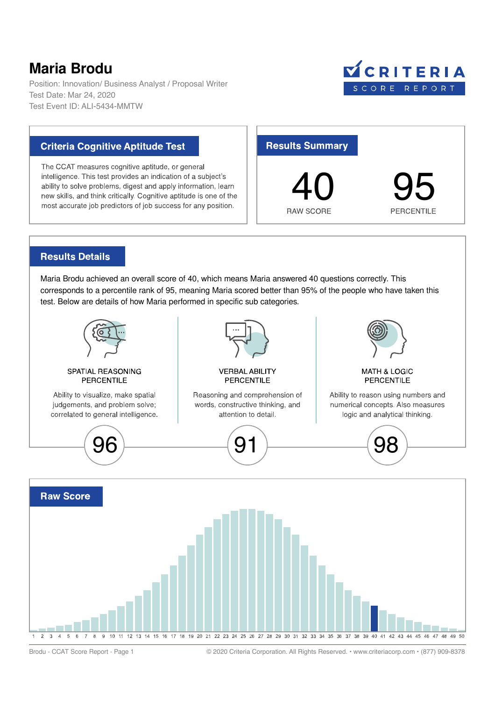## Maria Brodu

Position: Innovation/ Business Analyst / Proposal Writer Test Date: Mar 24, 2020 Test Event ID: ALI-5434-MMTW